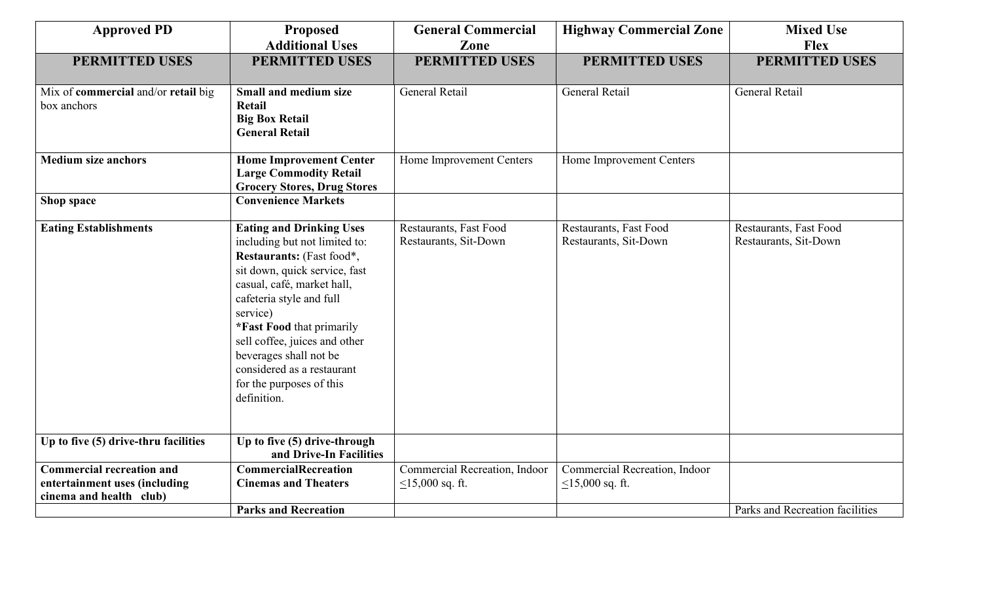| <b>Approved PD</b>                                                                           | <b>Proposed</b><br><b>Additional Uses</b>                                                                                                                                                                                                                                                                                                                             | <b>General Commercial</b>                           | <b>Highway Commercial Zone</b>                      | <b>Mixed Use</b><br><b>Flex</b>                 |
|----------------------------------------------------------------------------------------------|-----------------------------------------------------------------------------------------------------------------------------------------------------------------------------------------------------------------------------------------------------------------------------------------------------------------------------------------------------------------------|-----------------------------------------------------|-----------------------------------------------------|-------------------------------------------------|
|                                                                                              |                                                                                                                                                                                                                                                                                                                                                                       | Zone                                                |                                                     |                                                 |
| <b>PERMITTED USES</b>                                                                        | <b>PERMITTED USES</b>                                                                                                                                                                                                                                                                                                                                                 | <b>PERMITTED USES</b>                               | <b>PERMITTED USES</b>                               | <b>PERMITTED USES</b>                           |
| Mix of commercial and/or retail big<br>box anchors                                           | Small and medium size<br><b>Retail</b><br><b>Big Box Retail</b><br><b>General Retail</b>                                                                                                                                                                                                                                                                              | General Retail                                      | General Retail                                      | General Retail                                  |
| <b>Medium size anchors</b>                                                                   | <b>Home Improvement Center</b><br><b>Large Commodity Retail</b><br><b>Grocery Stores, Drug Stores</b>                                                                                                                                                                                                                                                                 | Home Improvement Centers                            | Home Improvement Centers                            |                                                 |
| Shop space                                                                                   | <b>Convenience Markets</b>                                                                                                                                                                                                                                                                                                                                            |                                                     |                                                     |                                                 |
| <b>Eating Establishments</b>                                                                 | <b>Eating and Drinking Uses</b><br>including but not limited to:<br>Restaurants: (Fast food*,<br>sit down, quick service, fast<br>casual, café, market hall,<br>cafeteria style and full<br>service)<br>*Fast Food that primarily<br>sell coffee, juices and other<br>beverages shall not be<br>considered as a restaurant<br>for the purposes of this<br>definition. | Restaurants, Fast Food<br>Restaurants, Sit-Down     | Restaurants, Fast Food<br>Restaurants, Sit-Down     | Restaurants, Fast Food<br>Restaurants, Sit-Down |
| Up to five (5) drive-thru facilities                                                         | Up to five (5) drive-through<br>and Drive-In Facilities                                                                                                                                                                                                                                                                                                               |                                                     |                                                     |                                                 |
| <b>Commercial recreation and</b><br>entertainment uses (including<br>cinema and health club) | <b>CommercialRecreation</b><br><b>Cinemas and Theaters</b>                                                                                                                                                                                                                                                                                                            | Commercial Recreation, Indoor<br>$<$ 15,000 sq. ft. | Commercial Recreation, Indoor<br>$<$ 15,000 sq. ft. |                                                 |
|                                                                                              | <b>Parks and Recreation</b>                                                                                                                                                                                                                                                                                                                                           |                                                     |                                                     | Parks and Recreation facilities                 |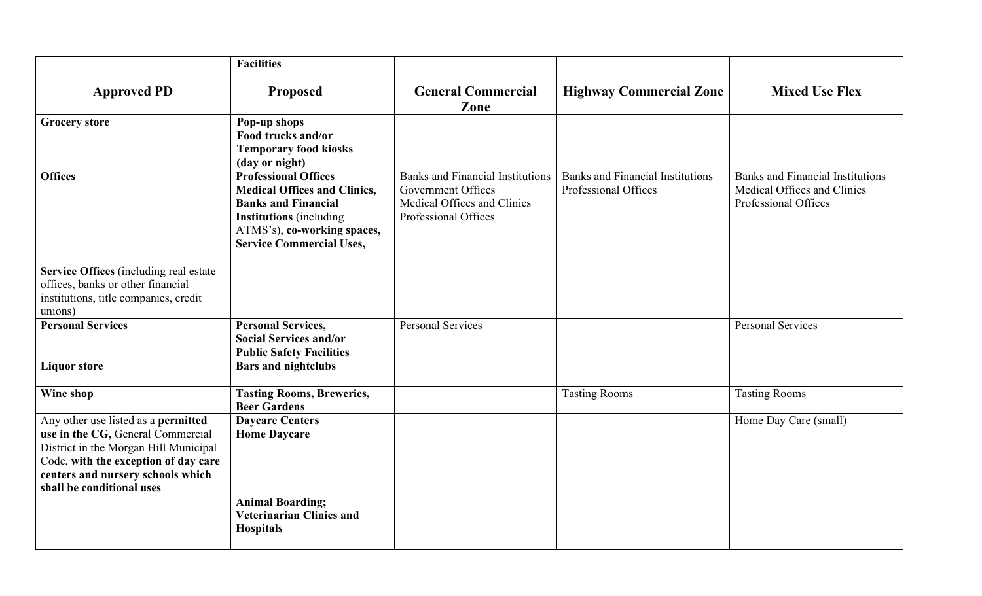|                                                                                                                                                                                                                             | <b>Facilities</b>                                                                                                                                                                                    |                                                                                                                             |                                                                 |                                                                                                |
|-----------------------------------------------------------------------------------------------------------------------------------------------------------------------------------------------------------------------------|------------------------------------------------------------------------------------------------------------------------------------------------------------------------------------------------------|-----------------------------------------------------------------------------------------------------------------------------|-----------------------------------------------------------------|------------------------------------------------------------------------------------------------|
| <b>Approved PD</b>                                                                                                                                                                                                          | <b>Proposed</b>                                                                                                                                                                                      | <b>General Commercial</b><br>Zone                                                                                           | <b>Highway Commercial Zone</b>                                  | <b>Mixed Use Flex</b>                                                                          |
| <b>Grocery store</b>                                                                                                                                                                                                        | Pop-up shops<br>Food trucks and/or<br><b>Temporary food kiosks</b><br>(day or night)                                                                                                                 |                                                                                                                             |                                                                 |                                                                                                |
| <b>Offices</b>                                                                                                                                                                                                              | <b>Professional Offices</b><br><b>Medical Offices and Clinics,</b><br><b>Banks and Financial</b><br><b>Institutions</b> (including<br>ATMS's), co-working spaces,<br><b>Service Commercial Uses,</b> | <b>Banks and Financial Institutions</b><br><b>Government Offices</b><br>Medical Offices and Clinics<br>Professional Offices | <b>Banks and Financial Institutions</b><br>Professional Offices | <b>Banks and Financial Institutions</b><br>Medical Offices and Clinics<br>Professional Offices |
| Service Offices (including real estate<br>offices, banks or other financial<br>institutions, title companies, credit<br>unions)                                                                                             |                                                                                                                                                                                                      |                                                                                                                             |                                                                 |                                                                                                |
| <b>Personal Services</b>                                                                                                                                                                                                    | <b>Personal Services,</b><br><b>Social Services and/or</b><br><b>Public Safety Facilities</b>                                                                                                        | <b>Personal Services</b>                                                                                                    |                                                                 | <b>Personal Services</b>                                                                       |
| <b>Liquor store</b>                                                                                                                                                                                                         | <b>Bars and nightclubs</b>                                                                                                                                                                           |                                                                                                                             |                                                                 |                                                                                                |
| Wine shop                                                                                                                                                                                                                   | <b>Tasting Rooms, Breweries,</b><br><b>Beer Gardens</b>                                                                                                                                              |                                                                                                                             | <b>Tasting Rooms</b>                                            | <b>Tasting Rooms</b>                                                                           |
| Any other use listed as a permitted<br>use in the CG, General Commercial<br>District in the Morgan Hill Municipal<br>Code, with the exception of day care<br>centers and nursery schools which<br>shall be conditional uses | <b>Daycare Centers</b><br><b>Home Daycare</b>                                                                                                                                                        |                                                                                                                             |                                                                 | Home Day Care (small)                                                                          |
|                                                                                                                                                                                                                             | <b>Animal Boarding;</b><br><b>Veterinarian Clinics and</b><br><b>Hospitals</b>                                                                                                                       |                                                                                                                             |                                                                 |                                                                                                |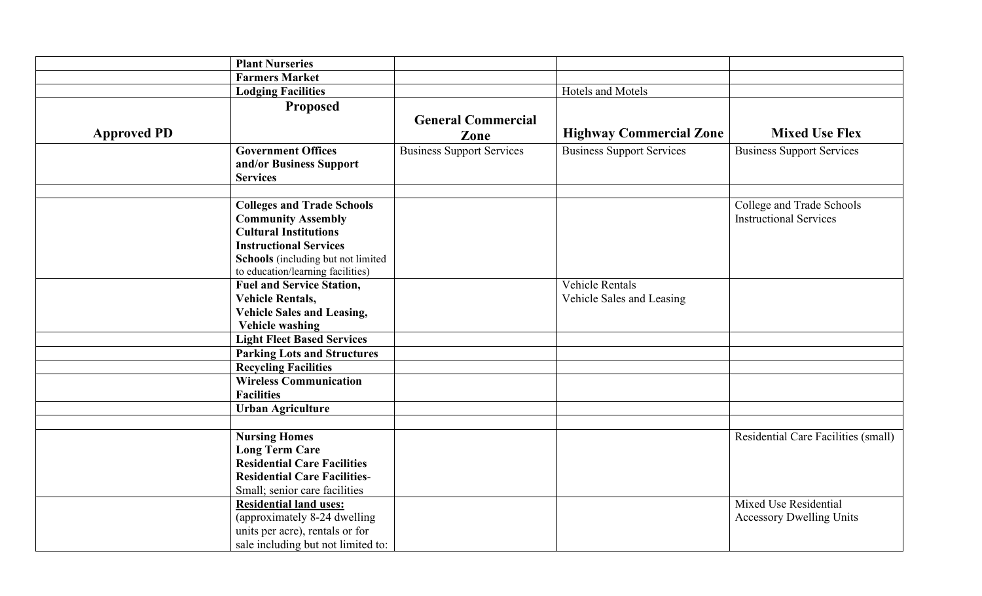|                    | <b>Plant Nurseries</b>                                                                                                                                                                                     |                                  |                                                     |                                                            |
|--------------------|------------------------------------------------------------------------------------------------------------------------------------------------------------------------------------------------------------|----------------------------------|-----------------------------------------------------|------------------------------------------------------------|
|                    | <b>Farmers Market</b>                                                                                                                                                                                      |                                  |                                                     |                                                            |
|                    | <b>Lodging Facilities</b>                                                                                                                                                                                  |                                  | Hotels and Motels                                   |                                                            |
|                    | Proposed                                                                                                                                                                                                   | <b>General Commercial</b>        |                                                     |                                                            |
| <b>Approved PD</b> |                                                                                                                                                                                                            | Zone                             | <b>Highway Commercial Zone</b>                      | <b>Mixed Use Flex</b>                                      |
|                    | <b>Government Offices</b><br>and/or Business Support<br><b>Services</b>                                                                                                                                    | <b>Business Support Services</b> | <b>Business Support Services</b>                    | <b>Business Support Services</b>                           |
|                    | <b>Colleges and Trade Schools</b><br><b>Community Assembly</b><br><b>Cultural Institutions</b><br><b>Instructional Services</b><br>Schools (including but not limited<br>to education/learning facilities) |                                  |                                                     | College and Trade Schools<br><b>Instructional Services</b> |
|                    | <b>Fuel and Service Station,</b><br><b>Vehicle Rentals,</b><br><b>Vehicle Sales and Leasing,</b><br><b>Vehicle washing</b>                                                                                 |                                  | <b>Vehicle Rentals</b><br>Vehicle Sales and Leasing |                                                            |
|                    | <b>Light Fleet Based Services</b>                                                                                                                                                                          |                                  |                                                     |                                                            |
|                    | <b>Parking Lots and Structures</b>                                                                                                                                                                         |                                  |                                                     |                                                            |
|                    | <b>Recycling Facilities</b>                                                                                                                                                                                |                                  |                                                     |                                                            |
|                    | <b>Wireless Communication</b><br><b>Facilities</b>                                                                                                                                                         |                                  |                                                     |                                                            |
|                    | <b>Urban Agriculture</b>                                                                                                                                                                                   |                                  |                                                     |                                                            |
|                    | <b>Nursing Homes</b><br><b>Long Term Care</b><br><b>Residential Care Facilities</b>                                                                                                                        |                                  |                                                     | Residential Care Facilities (small)                        |
|                    | <b>Residential Care Facilities-</b><br>Small; senior care facilities                                                                                                                                       |                                  |                                                     |                                                            |
|                    | <b>Residential land uses:</b><br>(approximately 8-24 dwelling<br>units per acre), rentals or for<br>sale including but not limited to:                                                                     |                                  |                                                     | Mixed Use Residential<br><b>Accessory Dwelling Units</b>   |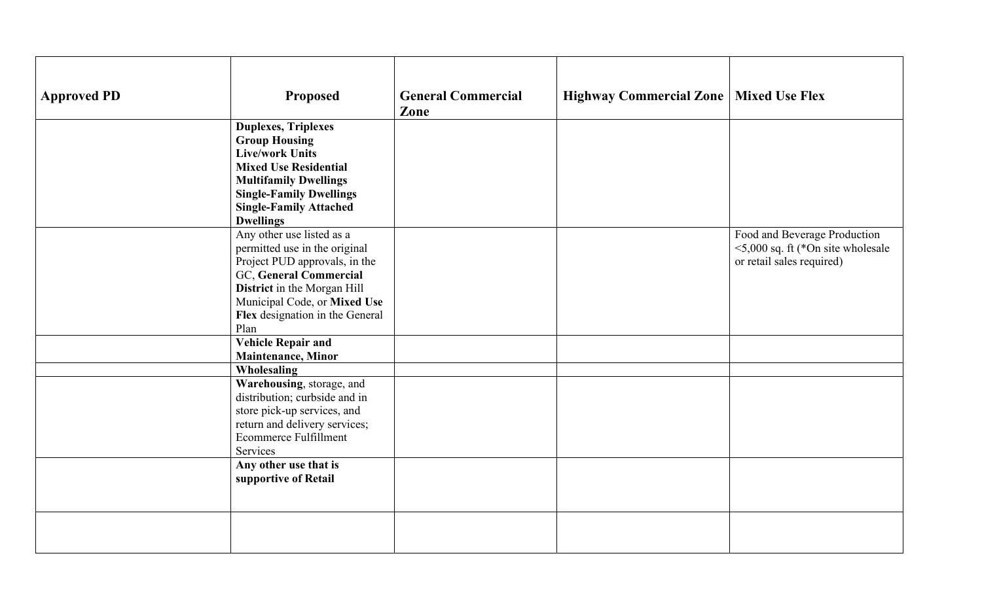| <b>Approved PD</b> | <b>Proposed</b>                                                                                                                                                                                                                     | <b>General Commercial</b><br>Zone | Highway Commercial Zone   Mixed Use Flex |                                                                                                      |
|--------------------|-------------------------------------------------------------------------------------------------------------------------------------------------------------------------------------------------------------------------------------|-----------------------------------|------------------------------------------|------------------------------------------------------------------------------------------------------|
|                    | <b>Duplexes, Triplexes</b><br><b>Group Housing</b><br><b>Live/work Units</b><br><b>Mixed Use Residential</b><br><b>Multifamily Dwellings</b><br><b>Single-Family Dwellings</b><br><b>Single-Family Attached</b><br><b>Dwellings</b> |                                   |                                          |                                                                                                      |
|                    | Any other use listed as a<br>permitted use in the original<br>Project PUD approvals, in the<br>GC, General Commercial<br>District in the Morgan Hill<br>Municipal Code, or Mixed Use<br>Flex designation in the General<br>Plan     |                                   |                                          | Food and Beverage Production<br>$\leq$ 5,000 sq. ft (*On site wholesale<br>or retail sales required) |
|                    | <b>Vehicle Repair and</b><br><b>Maintenance</b> , Minor                                                                                                                                                                             |                                   |                                          |                                                                                                      |
|                    | Wholesaling<br>Warehousing, storage, and<br>distribution; curbside and in<br>store pick-up services, and<br>return and delivery services;<br><b>Ecommerce Fulfillment</b><br>Services                                               |                                   |                                          |                                                                                                      |
|                    | Any other use that is<br>supportive of Retail                                                                                                                                                                                       |                                   |                                          |                                                                                                      |
|                    |                                                                                                                                                                                                                                     |                                   |                                          |                                                                                                      |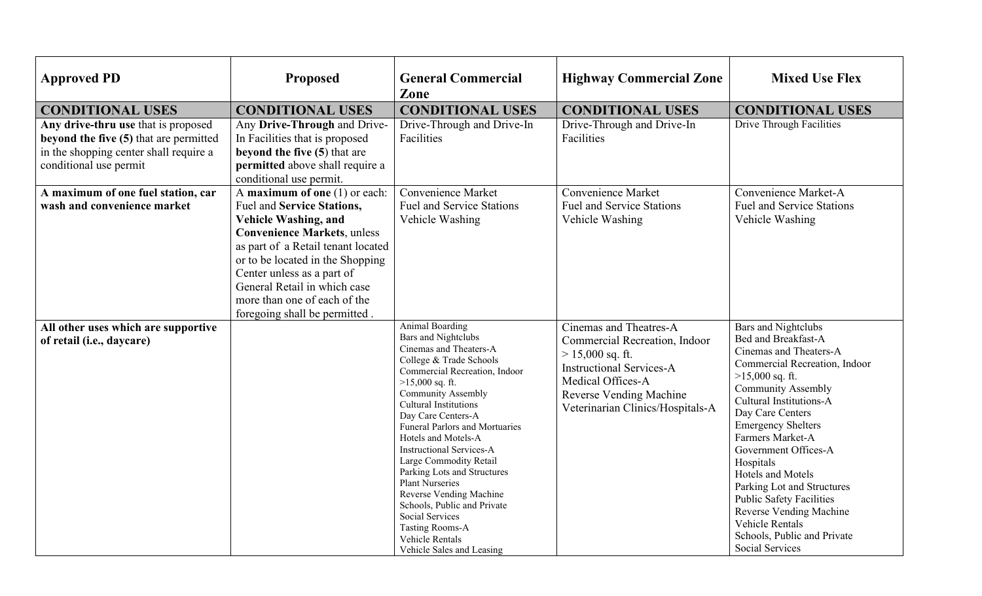| <b>Approved PD</b>                                                                                                                                | <b>Proposed</b>                                                                                                                                                                                                                                                                                                                             | <b>General Commercial</b><br>Zone                                                                                                                                                                                                                                                                                                                                                                                                                                                                                                                                                               | <b>Highway Commercial Zone</b>                                                                                                                                                                       | <b>Mixed Use Flex</b>                                                                                                                                                                                                                                                                                                                                                                                                                                                                                          |
|---------------------------------------------------------------------------------------------------------------------------------------------------|---------------------------------------------------------------------------------------------------------------------------------------------------------------------------------------------------------------------------------------------------------------------------------------------------------------------------------------------|-------------------------------------------------------------------------------------------------------------------------------------------------------------------------------------------------------------------------------------------------------------------------------------------------------------------------------------------------------------------------------------------------------------------------------------------------------------------------------------------------------------------------------------------------------------------------------------------------|------------------------------------------------------------------------------------------------------------------------------------------------------------------------------------------------------|----------------------------------------------------------------------------------------------------------------------------------------------------------------------------------------------------------------------------------------------------------------------------------------------------------------------------------------------------------------------------------------------------------------------------------------------------------------------------------------------------------------|
| <b>CONDITIONAL USES</b>                                                                                                                           | <b>CONDITIONAL USES</b>                                                                                                                                                                                                                                                                                                                     | <b>CONDITIONAL USES</b>                                                                                                                                                                                                                                                                                                                                                                                                                                                                                                                                                                         | <b>CONDITIONAL USES</b>                                                                                                                                                                              | <b>CONDITIONAL USES</b>                                                                                                                                                                                                                                                                                                                                                                                                                                                                                        |
| Any drive-thru use that is proposed<br>beyond the five (5) that are permitted<br>in the shopping center shall require a<br>conditional use permit | Any Drive-Through and Drive-<br>In Facilities that is proposed<br>beyond the five $(5)$ that are<br>permitted above shall require a<br>conditional use permit.                                                                                                                                                                              | Drive-Through and Drive-In<br>Facilities                                                                                                                                                                                                                                                                                                                                                                                                                                                                                                                                                        | Drive-Through and Drive-In<br>Facilities                                                                                                                                                             | Drive Through Facilities                                                                                                                                                                                                                                                                                                                                                                                                                                                                                       |
| A maximum of one fuel station, car<br>wash and convenience market                                                                                 | A maximum of one $(1)$ or each:<br>Fuel and Service Stations,<br><b>Vehicle Washing, and</b><br><b>Convenience Markets, unless</b><br>as part of a Retail tenant located<br>or to be located in the Shopping<br>Center unless as a part of<br>General Retail in which case<br>more than one of each of the<br>foregoing shall be permitted. | <b>Convenience Market</b><br><b>Fuel and Service Stations</b><br>Vehicle Washing                                                                                                                                                                                                                                                                                                                                                                                                                                                                                                                | <b>Convenience Market</b><br><b>Fuel and Service Stations</b><br>Vehicle Washing                                                                                                                     | Convenience Market-A<br><b>Fuel and Service Stations</b><br>Vehicle Washing                                                                                                                                                                                                                                                                                                                                                                                                                                    |
| All other uses which are supportive<br>of retail (i.e., daycare)                                                                                  |                                                                                                                                                                                                                                                                                                                                             | <b>Animal Boarding</b><br><b>Bars</b> and Nightclubs<br>Cinemas and Theaters-A<br>College & Trade Schools<br>Commercial Recreation, Indoor<br>$>15,000$ sq. ft.<br><b>Community Assembly</b><br><b>Cultural Institutions</b><br>Day Care Centers-A<br><b>Funeral Parlors and Mortuaries</b><br>Hotels and Motels-A<br><b>Instructional Services-A</b><br>Large Commodity Retail<br>Parking Lots and Structures<br><b>Plant Nurseries</b><br>Reverse Vending Machine<br>Schools, Public and Private<br>Social Services<br><b>Tasting Rooms-A</b><br>Vehicle Rentals<br>Vehicle Sales and Leasing | Cinemas and Theatres-A<br>Commercial Recreation, Indoor<br>$> 15,000$ sq. ft.<br><b>Instructional Services-A</b><br>Medical Offices-A<br>Reverse Vending Machine<br>Veterinarian Clinics/Hospitals-A | <b>Bars and Nightclubs</b><br><b>Bed and Breakfast-A</b><br>Cinemas and Theaters-A<br>Commercial Recreation, Indoor<br>$>15,000$ sq. ft.<br><b>Community Assembly</b><br>Cultural Institutions-A<br>Day Care Centers<br><b>Emergency Shelters</b><br>Farmers Market-A<br>Government Offices-A<br>Hospitals<br>Hotels and Motels<br>Parking Lot and Structures<br><b>Public Safety Facilities</b><br>Reverse Vending Machine<br><b>Vehicle Rentals</b><br>Schools, Public and Private<br><b>Social Services</b> |